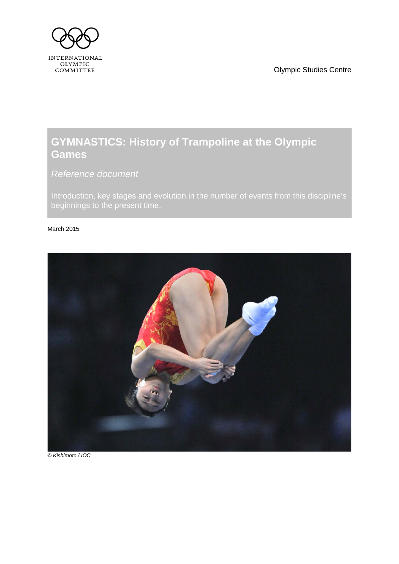Olympic Studies Centre

<span id="page-0-1"></span>

# **GYMNASTICS: History of Trampoline at the Olympic Games**

<span id="page-0-0"></span>*Reference document*

Introduction, key stages and evolution in the number of events from this discipline's beginnings to the present time.

### March 2015



*© Kishimoto / IOC*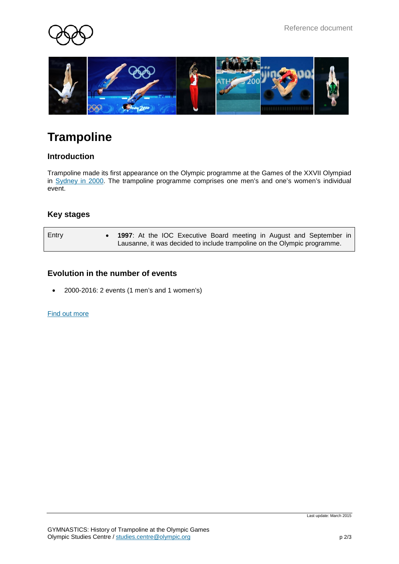



# **Trampoline**

# **Introduction**

Trampoline made its first appearance on the Olympic programme at the Games of the XXVII Olympiad in [Sydney](http://www.olympic.org/sydney-2000-summer-olympics) in 2000. The trampoline programme comprises one men's and one's women's individual event.

# **Key stages**

| Entry | 1997: At the IOC Executive Board meeting in August and September in      |
|-------|--------------------------------------------------------------------------|
|       | Lausanne, it was decided to include trampoline on the Olympic programme. |

### **Evolution in the number of events**

• 2000-2016: 2 events (1 men's and 1 women's)

#### [Find out more](http://www.olympic.org/trampoline)